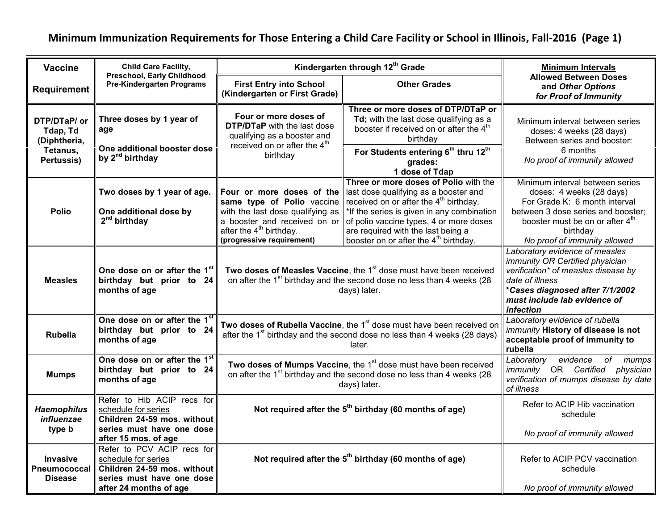## **Minimum Immunization Requirements for Those Entering a Child Care Facility or School in Illinois, Fall-2016 (Page 1)**

| <b>Vaccine</b>                                                     | <b>Child Care Facility,</b>                                                                                   | Kindergarten through 12 <sup>th</sup> Grade                                                                                                                                           |                                                                                                                                                                                                                                                                                                                | <b>Minimum Intervals</b>                                                                                                                                                                                                      |
|--------------------------------------------------------------------|---------------------------------------------------------------------------------------------------------------|---------------------------------------------------------------------------------------------------------------------------------------------------------------------------------------|----------------------------------------------------------------------------------------------------------------------------------------------------------------------------------------------------------------------------------------------------------------------------------------------------------------|-------------------------------------------------------------------------------------------------------------------------------------------------------------------------------------------------------------------------------|
| <b>Requirement</b>                                                 | <b>Preschool, Early Childhood</b><br><b>Pre-Kindergarten Programs</b>                                         | <b>First Entry into School</b><br>(Kindergarten or First Grade)                                                                                                                       | <b>Other Grades</b>                                                                                                                                                                                                                                                                                            | <b>Allowed Between Doses</b><br>and Other Options<br>for Proof of Immunity                                                                                                                                                    |
| DTP/DTaP/ or<br>Tdap, Td<br>(Diphtheria,<br>Tetanus,<br>Pertussis) | Three doses by 1 year of<br>age                                                                               | Four or more doses of<br><b>DTP/DTaP</b> with the last dose<br>qualifying as a booster and<br>received on or after the 4 <sup>th</sup><br>birthday                                    | Three or more doses of DTP/DTaP or<br>Td; with the last dose qualifying as a<br>booster if received on or after the 4 <sup>th</sup><br>birthday                                                                                                                                                                | Minimum interval between series<br>doses: 4 weeks (28 days)<br>Between series and booster:<br>6 months<br>No proof of immunity allowed                                                                                        |
|                                                                    | One additional booster dose<br>by 2 <sup>nd</sup> birthday                                                    |                                                                                                                                                                                       | For Students entering 6th thru 12th<br>grades:<br>1 dose of Tdap                                                                                                                                                                                                                                               |                                                                                                                                                                                                                               |
| <b>Polio</b>                                                       | Two doses by 1 year of age.<br>One additional dose by<br>$2nd$ birthday                                       | Four or more doses of the<br>same type of Polio vaccine<br>with the last dose qualifying as<br>a booster and received on or<br>after the $4th$ birthday.<br>(progressive requirement) | Three or more doses of Polio with the<br>last dose qualifying as a booster and<br>received on or after the $4th$ birthday.<br>*If the series is given in any combination<br>of polio vaccine types, 4 or more doses<br>are required with the last being a<br>booster on or after the 4 <sup>th</sup> birthday. | Minimum interval between series<br>doses: 4 weeks (28 days)<br>For Grade K: 6 month interval<br>between 3 dose series and booster;<br>booster must be on or after 4 <sup>th</sup><br>birthday<br>No proof of immunity allowed |
| <b>Measles</b>                                                     | One dose on or after the 1st<br>birthday but prior to 24<br>months of age                                     | Two doses of Measles Vaccine, the 1 <sup>st</sup> dose must have been received<br>on after the 1 <sup>st</sup> birthday and the second dose no less than 4 weeks (28<br>days) later.  |                                                                                                                                                                                                                                                                                                                | Laboratory evidence of measles<br>immunity OR Certified physician<br>verification* of measles disease by<br>date of illness<br>*Cases diagnosed after 7/1/2002<br>must include lab evidence of<br><i>infection</i>            |
| <b>Rubella</b>                                                     | One dose on or after the 1 <sup>s</sup><br>birthday but prior to 24<br>months of age                          | Two doses of Rubella Vaccine, the 1 <sup>st</sup> dose must have been received on<br>after the 1 <sup>st</sup> birthday and the second dose no less than 4 weeks (28 days)<br>later.  |                                                                                                                                                                                                                                                                                                                | Laboratory evidence of rubella<br>immunity History of disease is not<br>acceptable proof of immunity to<br>rubella                                                                                                            |
| <b>Mumps</b>                                                       | One dose on or after the 1st<br>birthday but prior to 24<br>months of age                                     | Two doses of Mumps Vaccine, the 1 <sup>st</sup> dose must have been received<br>on after the 1 <sup>st</sup> birthday and the second dose no less than 4 weeks (28<br>days) later.    |                                                                                                                                                                                                                                                                                                                | evidence<br>Laboratory<br>of<br>mumps<br>immunity OR Certified physician<br>verification of mumps disease by date<br>of illness                                                                                               |
| <b>Haemophilus</b><br>influenzae                                   | Refer to Hib ACIP recs for<br>schedule for series<br>Children 24-59 mos. without                              | Not required after the $5th$ birthday (60 months of age)                                                                                                                              |                                                                                                                                                                                                                                                                                                                | Refer to ACIP Hib vaccination<br>schedule                                                                                                                                                                                     |
| type b                                                             | series must have one dose<br>after 15 mos. of age                                                             |                                                                                                                                                                                       |                                                                                                                                                                                                                                                                                                                | No proof of immunity allowed                                                                                                                                                                                                  |
| <b>Invasive</b><br>Pneumococcal<br><b>Disease</b>                  | Refer to PCV ACIP recs for<br>schedule for series<br>Children 24-59 mos. without<br>series must have one dose |                                                                                                                                                                                       | Not required after the $5th$ birthday (60 months of age)                                                                                                                                                                                                                                                       | Refer to ACIP PCV vaccination<br>schedule                                                                                                                                                                                     |
|                                                                    | after 24 months of age                                                                                        |                                                                                                                                                                                       |                                                                                                                                                                                                                                                                                                                | No proof of immunity allowed                                                                                                                                                                                                  |